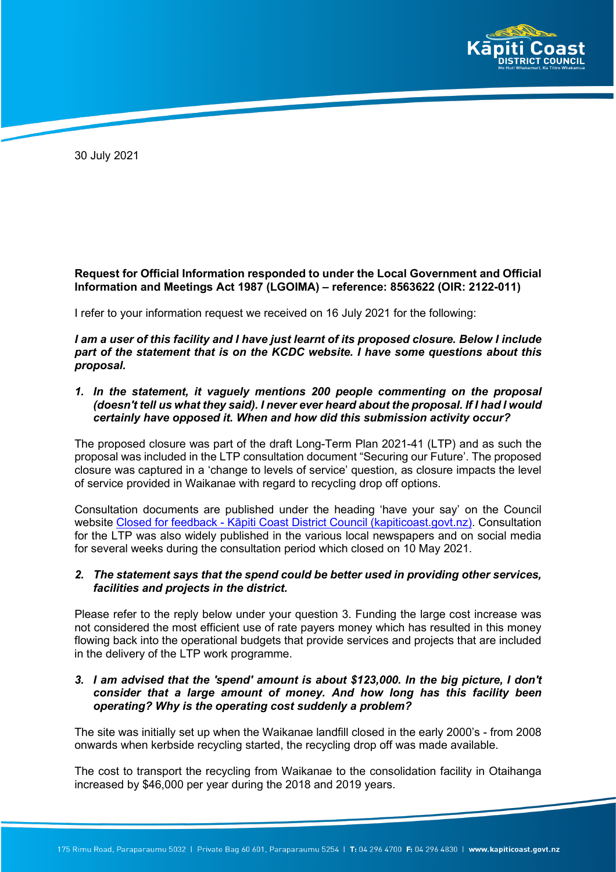

30 July 2021

## **Request for Official Information responded to under the Local Government and Official Information and Meetings Act 1987 (LGOIMA) – reference: 8563622 (OIR: 2122-011)**

I refer to your information request we received on 16 July 2021 for the following:

*I am a user of this facility and I have just learnt of its proposed closure. Below I include part of the statement that is on the KCDC website. I have some questions about this proposal.*

*1. In the statement, it vaguely mentions 200 people commenting on the proposal (doesn't tell us what they said). I never ever heard about the proposal. If I had I would certainly have opposed it. When and how did this submission activity occur?*

The proposed closure was part of the draft Long-Term Plan 2021-41 (LTP) and as such the proposal was included in the LTP consultation document "Securing our Future'. The proposed closure was captured in a 'change to levels of service' question, as closure impacts the level of service provided in Waikanae with regard to recycling drop off options.

Consultation documents are published under the heading 'have your say' on the Council website Closed for feedback - [Kāpiti Coast District Council \(kapiticoast.govt.nz\)](https://www.kapiticoast.govt.nz/whats-on/have-your-say/recent-consultations/). Consultation for the LTP was also widely published in the various local newspapers and on social media for several weeks during the consultation period which closed on 10 May 2021.

## *2. The statement says that the spend could be better used in providing other services, facilities and projects in the district.*

Please refer to the reply below under your question 3. Funding the large cost increase was not considered the most efficient use of rate payers money which has resulted in this money flowing back into the operational budgets that provide services and projects that are included in the delivery of the LTP work programme.

## *3. I am advised that the 'spend' amount is about \$123,000. In the big picture, I don't consider that a large amount of money. And how long has this facility been operating? Why is the operating cost suddenly a problem?*

The site was initially set up when the Waikanae landfill closed in the early 2000's - from 2008 onwards when kerbside recycling started, the recycling drop off was made available.

The cost to transport the recycling from Waikanae to the consolidation facility in Otaihanga increased by \$46,000 per year during the 2018 and 2019 years.